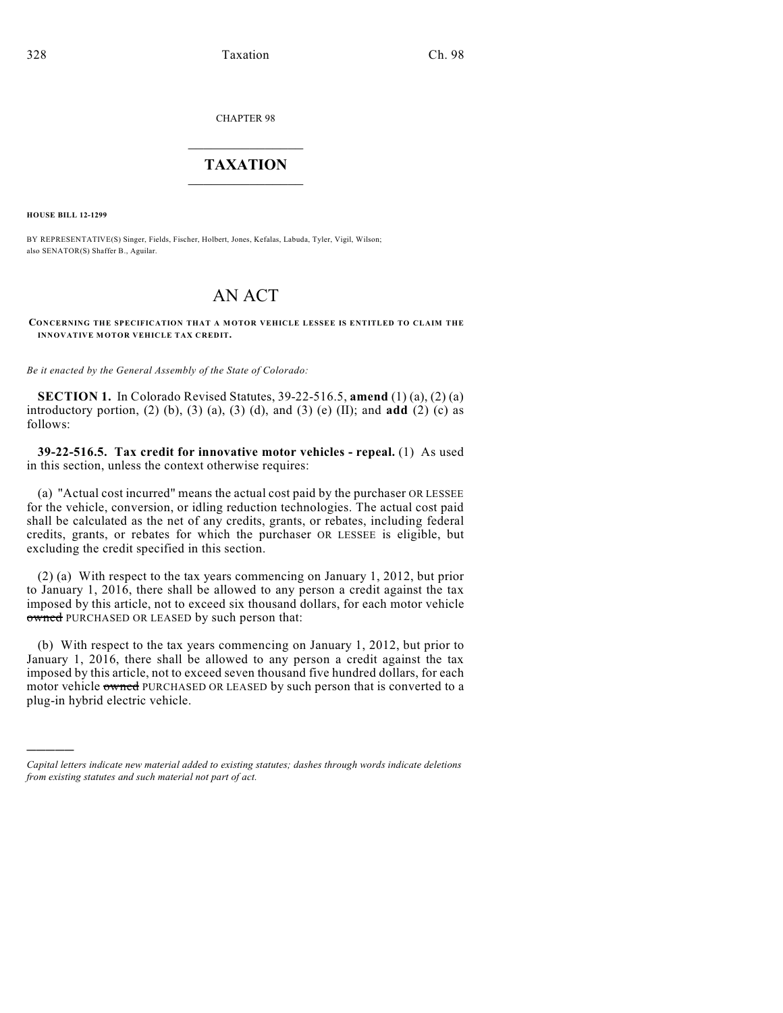CHAPTER 98

## $\mathcal{L}_\text{max}$  . The set of the set of the set of the set of the set of the set of the set of the set of the set of the set of the set of the set of the set of the set of the set of the set of the set of the set of the set **TAXATION**  $\_$

**HOUSE BILL 12-1299**

)))))

BY REPRESENTATIVE(S) Singer, Fields, Fischer, Holbert, Jones, Kefalas, Labuda, Tyler, Vigil, Wilson; also SENATOR(S) Shaffer B., Aguilar.

## AN ACT

## **CONCERNING THE SPECIFICATION THAT A MOTOR VEHICLE LESSEE IS ENTITLED TO CLAIM THE INNOVATIVE MOTOR VEHICLE TAX CREDIT.**

*Be it enacted by the General Assembly of the State of Colorado:*

**SECTION 1.** In Colorado Revised Statutes, 39-22-516.5, **amend** (1) (a), (2) (a) introductory portion, (2) (b), (3) (a), (3) (d), and (3) (e) (II); and **add** (2) (c) as follows:

**39-22-516.5. Tax credit for innovative motor vehicles - repeal.** (1) As used in this section, unless the context otherwise requires:

(a) "Actual cost incurred" means the actual cost paid by the purchaser OR LESSEE for the vehicle, conversion, or idling reduction technologies. The actual cost paid shall be calculated as the net of any credits, grants, or rebates, including federal credits, grants, or rebates for which the purchaser OR LESSEE is eligible, but excluding the credit specified in this section.

(2) (a) With respect to the tax years commencing on January 1, 2012, but prior to January 1, 2016, there shall be allowed to any person a credit against the tax imposed by this article, not to exceed six thousand dollars, for each motor vehicle owned PURCHASED OR LEASED by such person that:

(b) With respect to the tax years commencing on January 1, 2012, but prior to January 1, 2016, there shall be allowed to any person a credit against the tax imposed by this article, not to exceed seven thousand five hundred dollars, for each motor vehicle owned PURCHASED OR LEASED by such person that is converted to a plug-in hybrid electric vehicle.

*Capital letters indicate new material added to existing statutes; dashes through words indicate deletions from existing statutes and such material not part of act.*